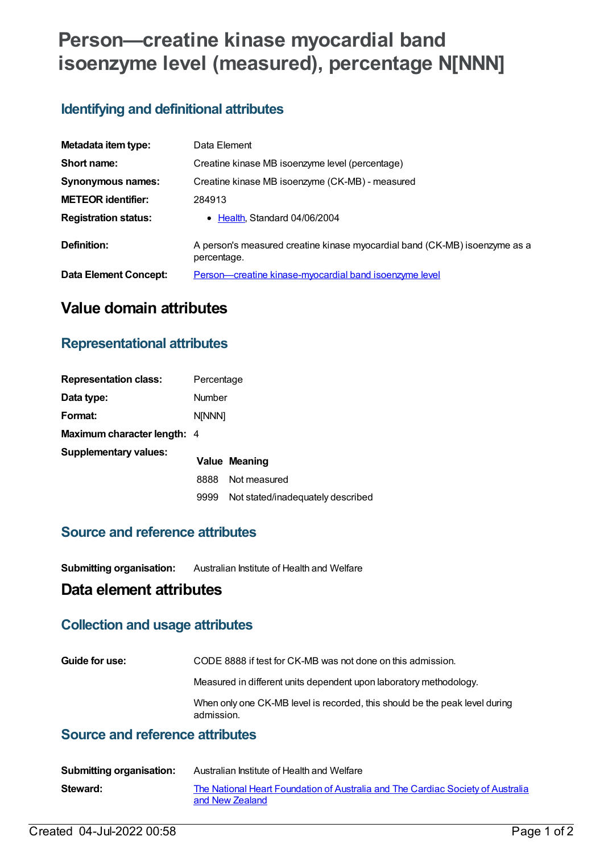# **Person—creatine kinase myocardial band isoenzyme level (measured), percentage N[NNN]**

## **Identifying and definitional attributes**

| Metadata item type:         | Data Element                                                                              |
|-----------------------------|-------------------------------------------------------------------------------------------|
| Short name:                 | Creatine kinase MB isoenzyme level (percentage)                                           |
| Synonymous names:           | Creatine kinase MB isoenzyme (CK-MB) - measured                                           |
| <b>METEOR identifier:</b>   | 284913                                                                                    |
| <b>Registration status:</b> | • Health, Standard 04/06/2004                                                             |
| Definition:                 | A person's measured creatine kinase myocardial band (CK-MB) isoenzyme as a<br>percentage. |
| Data Element Concept:       | <b>Person—creatine kinase-myocardial band isoenzyme level</b>                             |

# **Value domain attributes**

#### **Representational attributes**

| <b>Representation class:</b>       | Percentage    |                                   |
|------------------------------------|---------------|-----------------------------------|
| Data type:                         | <b>Number</b> |                                   |
| Format:                            | <b>N[NNN]</b> |                                   |
| <b>Maximum character length: 4</b> |               |                                   |
| <b>Supplementary values:</b>       |               | Value Meaning                     |
|                                    | 8888          | Not measured                      |
|                                    | 9999          | Not stated/inadequately described |

#### **Source and reference attributes**

**Submitting organisation:** Australian Institute of Health and Welfare

#### **Data element attributes**

#### **Collection and usage attributes**

| Guide for use: | CODE 8888 if test for CK-MB was not done on this admission.                               |
|----------------|-------------------------------------------------------------------------------------------|
|                | Measured in different units dependent upon laboratory methodology.                        |
|                | When only one CK-MB level is recorded, this should be the peak level during<br>admission. |

### **Source and reference attributes**

| <b>Submitting organisation:</b> | Australian Institute of Health and Welfare                                                         |
|---------------------------------|----------------------------------------------------------------------------------------------------|
| Steward:                        | The National Heart Foundation of Australia and The Cardiac Society of Australia<br>and New Zealand |